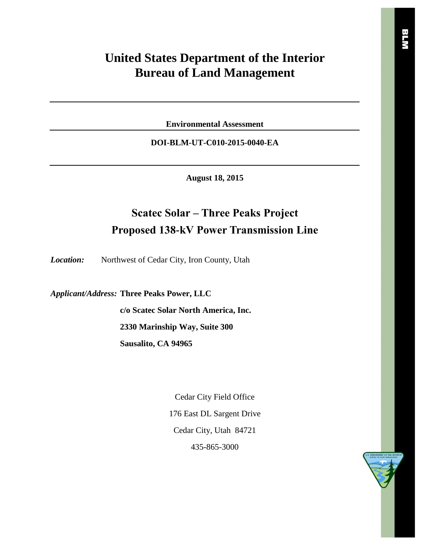# **United States Department of the Interior Bureau of Land Management**

**Environmental Assessment**

**DOI-BLM-UT-C010-2015-0040-EA**

**August 18, 2015**

# **Scatec Solar – Three Peaks Project Proposed 138-kV Power Transmission Line**

*Location:* Northwest of Cedar City, Iron County, Utah

*Applicant/Address:* **Three Peaks Power, LLC**

**c/o Scatec Solar North America, Inc. 2330 Marinship Way, Suite 300 Sausalito, CA 94965**

> Cedar City Field Office 176 East DL Sargent Drive Cedar City, Utah 84721 435-865-3000

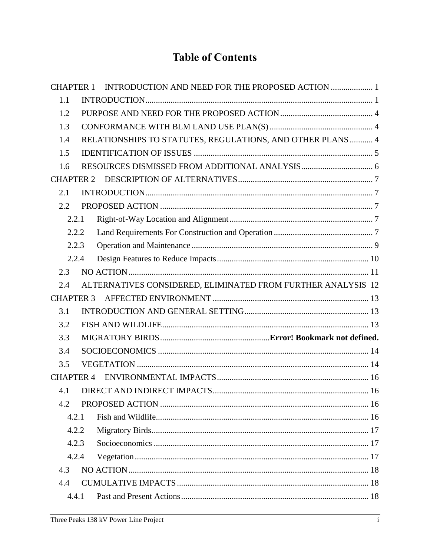# **Table of Contents**

| <b>CHAPTER 1</b> | INTRODUCTION AND NEED FOR THE PROPOSED ACTION  1             |  |
|------------------|--------------------------------------------------------------|--|
| 1.1              |                                                              |  |
| 1.2              |                                                              |  |
| 1.3              |                                                              |  |
| 1.4              | RELATIONSHIPS TO STATUTES, REGULATIONS, AND OTHER PLANS  4   |  |
| 1.5              |                                                              |  |
| 1.6              |                                                              |  |
| <b>CHAPTER 2</b> |                                                              |  |
| 2.1              |                                                              |  |
| 2.2              |                                                              |  |
| 2.2.1            |                                                              |  |
| 2.2.2            |                                                              |  |
| 2.2.3            |                                                              |  |
| 2.2.4            |                                                              |  |
| 2.3              |                                                              |  |
| 2.4              | ALTERNATIVES CONSIDERED, ELIMINATED FROM FURTHER ANALYSIS 12 |  |
| <b>CHAPTER 3</b> |                                                              |  |
| 3.1              |                                                              |  |
| 3.2              |                                                              |  |
| 3.3              |                                                              |  |
| 3.4              |                                                              |  |
| 3.5              |                                                              |  |
| <b>CHAPTER 4</b> |                                                              |  |
| 4.1              |                                                              |  |
| 4.2              |                                                              |  |
| 4.2.1            |                                                              |  |
| 4.2.2            |                                                              |  |
| 4.2.3            |                                                              |  |
| 4.2.4            |                                                              |  |
| 4.3              |                                                              |  |
| 4.4              |                                                              |  |
| 4.4.1            |                                                              |  |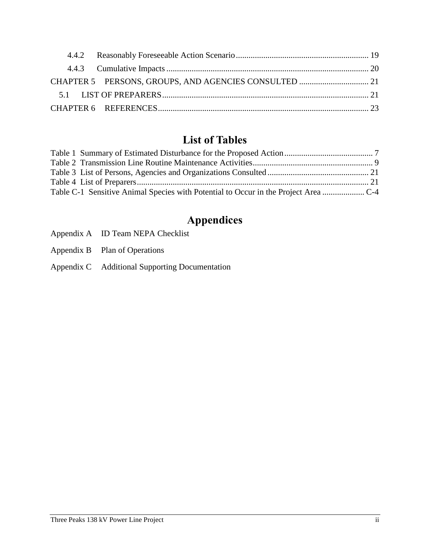# **List of Tables**

# **Appendices**

- Appendix A ID Team NEPA Checklist
- Appendix B Plan of Operations
- Appendix C Additional Supporting Documentation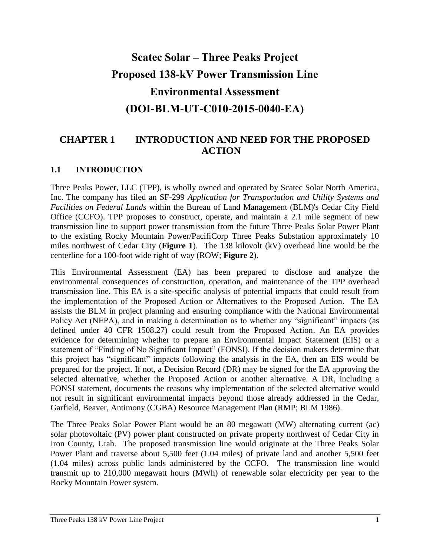# **Scatec Solar – Three Peaks Project Proposed 138-kV Power Transmission Line Environmental Assessment (DOI-BLM-UT-C010-2015-0040-EA)**

## <span id="page-3-0"></span>**CHAPTER 1 INTRODUCTION AND NEED FOR THE PROPOSED ACTION**

#### <span id="page-3-1"></span>**1.1 INTRODUCTION**

Three Peaks Power, LLC (TPP), is wholly owned and operated by Scatec Solar North America, Inc. The company has filed an SF-299 *Application for Transportation and Utility Systems and Facilities on Federal Lands* within the Bureau of Land Management (BLM)'s Cedar City Field Office (CCFO). TPP proposes to construct, operate, and maintain a 2.1 mile segment of new transmission line to support power transmission from the future Three Peaks Solar Power Plant to the existing Rocky Mountain Power/PacifiCorp Three Peaks Substation approximately 10 miles northwest of Cedar City (**Figure 1**). The 138 kilovolt (kV) overhead line would be the centerline for a 100-foot wide right of way (ROW; **Figure 2**).

This Environmental Assessment (EA) has been prepared to disclose and analyze the environmental consequences of construction, operation, and maintenance of the TPP overhead transmission line. This EA is a site-specific analysis of potential impacts that could result from the implementation of the Proposed Action or Alternatives to the Proposed Action. The EA assists the BLM in project planning and ensuring compliance with the National Environmental Policy Act (NEPA), and in making a determination as to whether any "significant" impacts (as defined under 40 CFR 1508.27) could result from the Proposed Action. An EA provides evidence for determining whether to prepare an Environmental Impact Statement (EIS) or a statement of "Finding of No Significant Impact" (FONSI). If the decision makers determine that this project has "significant" impacts following the analysis in the EA, then an EIS would be prepared for the project. If not, a Decision Record (DR) may be signed for the EA approving the selected alternative, whether the Proposed Action or another alternative. A DR, including a FONSI statement, documents the reasons why implementation of the selected alternative would not result in significant environmental impacts beyond those already addressed in the Cedar, Garfield, Beaver, Antimony (CGBA) Resource Management Plan (RMP; BLM 1986).

The Three Peaks Solar Power Plant would be an 80 megawatt (MW) alternating current (ac) solar photovoltaic (PV) power plant constructed on private property northwest of Cedar City in Iron County, Utah. The proposed transmission line would originate at the Three Peaks Solar Power Plant and traverse about 5,500 feet (1.04 miles) of private land and another 5,500 feet (1.04 miles) across public lands administered by the CCFO. The transmission line would transmit up to 210,000 megawatt hours (MWh) of renewable solar electricity per year to the Rocky Mountain Power system.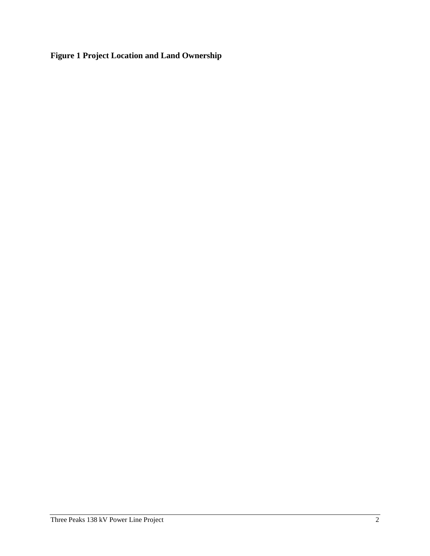**Figure 1 Project Location and Land Ownership**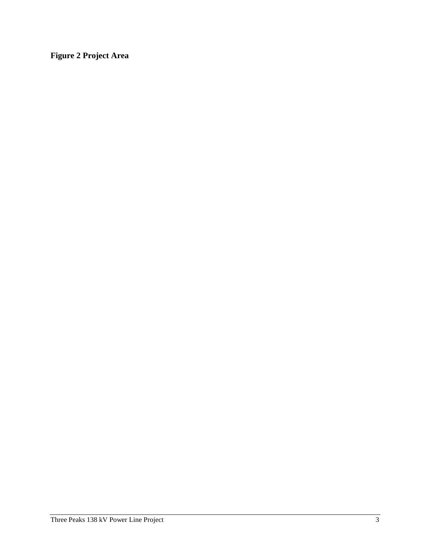**Figure 2 Project Area**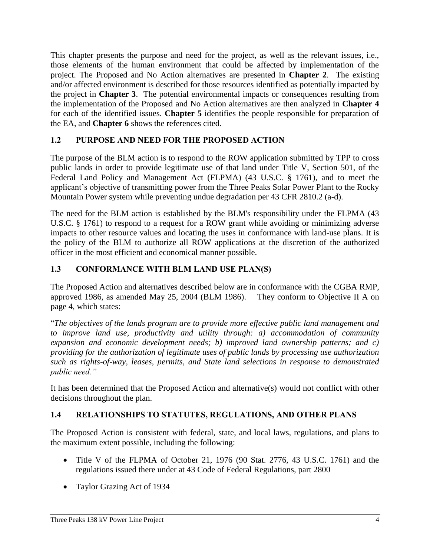This chapter presents the purpose and need for the project, as well as the relevant issues, i.e., those elements of the human environment that could be affected by implementation of the project. The Proposed and No Action alternatives are presented in **Chapter 2**. The existing and/or affected environment is described for those resources identified as potentially impacted by the project in **Chapter 3**. The potential environmental impacts or consequences resulting from the implementation of the Proposed and No Action alternatives are then analyzed in **Chapter 4** for each of the identified issues. **Chapter 5** identifies the people responsible for preparation of the EA, and **Chapter 6** shows the references cited.

## <span id="page-6-0"></span>**1.2 PURPOSE AND NEED FOR THE PROPOSED ACTION**

The purpose of the BLM action is to respond to the ROW application submitted by TPP to cross public lands in order to provide legitimate use of that land under Title V, Section 501, of the Federal Land Policy and Management Act (FLPMA) (43 U.S.C. § 1761), and to meet the applicant's objective of transmitting power from the Three Peaks Solar Power Plant to the Rocky Mountain Power system while preventing undue degradation per 43 CFR 2810.2 (a-d).

The need for the BLM action is established by the BLM's responsibility under the FLPMA (43 U.S.C. § 1761) to respond to a request for a ROW grant while avoiding or minimizing adverse impacts to other resource values and locating the uses in conformance with land-use plans. It is the policy of the BLM to authorize all ROW applications at the discretion of the authorized officer in the most efficient and economical manner possible.

#### <span id="page-6-1"></span>**1.3 CONFORMANCE WITH BLM LAND USE PLAN(S)**

The Proposed Action and alternatives described below are in conformance with the CGBA RMP, approved 1986, as amended May 25, 2004 (BLM 1986). They conform to Objective II A on page 4, which states:

"*The objectives of the lands program are to provide more effective public land management and to improve land use, productivity and utility through: a) accommodation of community expansion and economic development needs; b) improved land ownership patterns; and c) providing for the authorization of legitimate uses of public lands by processing use authorization such as rights-of-way, leases, permits, and State land selections in response to demonstrated public need."*

It has been determined that the Proposed Action and alternative(s) would not conflict with other decisions throughout the plan.

#### <span id="page-6-2"></span>**1.4 RELATIONSHIPS TO STATUTES, REGULATIONS, AND OTHER PLANS**

The Proposed Action is consistent with federal, state, and local laws, regulations, and plans to the maximum extent possible, including the following:

- Title V of the FLPMA of October 21, 1976 (90 Stat. 2776, 43 U.S.C. 1761) and the regulations issued there under at 43 Code of Federal Regulations, part 2800
- Taylor Grazing Act of 1934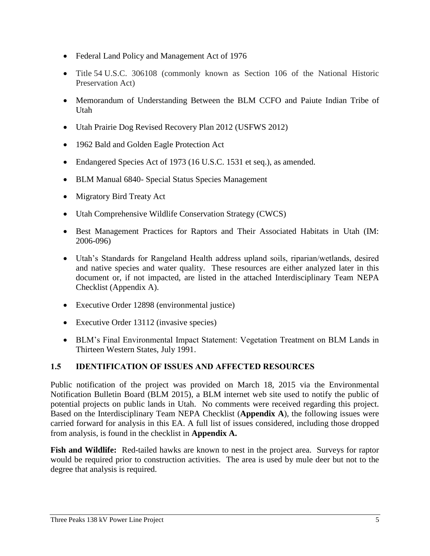- Federal Land Policy and Management Act of 1976
- Title 54 U.S.C. 306108 (commonly known as Section 106 of the National Historic Preservation Act)
- Memorandum of Understanding Between the BLM CCFO and Paiute Indian Tribe of Utah
- Utah Prairie Dog Revised Recovery Plan 2012 (USFWS 2012)
- 1962 Bald and Golden Eagle Protection Act
- Endangered Species Act of 1973 (16 U.S.C. 1531 et seq.), as amended.
- BLM Manual 6840- Special Status Species Management
- Migratory Bird Treaty Act
- Utah Comprehensive Wildlife Conservation Strategy (CWCS)
- Best Management Practices for Raptors and Their Associated Habitats in Utah (IM: 2006-096)
- Utah's Standards for Rangeland Health address upland soils, riparian/wetlands, desired and native species and water quality. These resources are either analyzed later in this document or, if not impacted, are listed in the attached Interdisciplinary Team NEPA Checklist (Appendix A).
- Executive Order 12898 (environmental justice)
- Executive Order 13112 (invasive species)
- BLM's Final Environmental Impact Statement: Vegetation Treatment on BLM Lands in Thirteen Western States, July 1991.

## <span id="page-7-0"></span>**1.5 IDENTIFICATION OF ISSUES AND AFFECTED RESOURCES**

Public notification of the project was provided on March 18, 2015 via the Environmental Notification Bulletin Board (BLM 2015), a BLM internet web site used to notify the public of potential projects on public lands in Utah. No comments were received regarding this project. Based on the Interdisciplinary Team NEPA Checklist (**Appendix A**), the following issues were carried forward for analysis in this EA. A full list of issues considered, including those dropped from analysis, is found in the checklist in **Appendix A.**

**Fish and Wildlife:** Red-tailed hawks are known to nest in the project area. Surveys for raptor would be required prior to construction activities. The area is used by mule deer but not to the degree that analysis is required.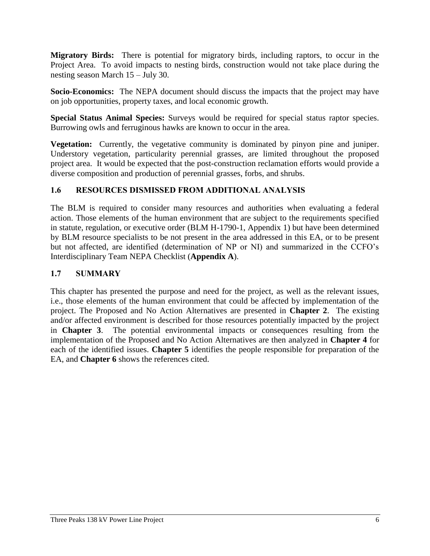**Migratory Birds:** There is potential for migratory birds, including raptors, to occur in the Project Area. To avoid impacts to nesting birds, construction would not take place during the nesting season March 15 – July 30.

**Socio-Economics:** The NEPA document should discuss the impacts that the project may have on job opportunities, property taxes, and local economic growth.

**Special Status Animal Species:** Surveys would be required for special status raptor species. Burrowing owls and ferruginous hawks are known to occur in the area.

**Vegetation:** Currently, the vegetative community is dominated by pinyon pine and juniper. Understory vegetation, particularity perennial grasses, are limited throughout the proposed project area. It would be expected that the post-construction reclamation efforts would provide a diverse composition and production of perennial grasses, forbs, and shrubs.

## <span id="page-8-0"></span>**1.6 RESOURCES DISMISSED FROM ADDITIONAL ANALYSIS**

The BLM is required to consider many resources and authorities when evaluating a federal action. Those elements of the human environment that are subject to the requirements specified in statute, regulation, or executive order (BLM H-1790-1, Appendix 1) but have been determined by BLM resource specialists to be not present in the area addressed in this EA, or to be present but not affected, are identified (determination of NP or NI) and summarized in the CCFO's Interdisciplinary Team NEPA Checklist (**Appendix A**).

#### **1.7 SUMMARY**

This chapter has presented the purpose and need for the project, as well as the relevant issues, i.e., those elements of the human environment that could be affected by implementation of the project. The Proposed and No Action Alternatives are presented in **Chapter 2**. The existing and/or affected environment is described for those resources potentially impacted by the project in **Chapter 3**. The potential environmental impacts or consequences resulting from the implementation of the Proposed and No Action Alternatives are then analyzed in **Chapter 4** for each of the identified issues. **Chapter 5** identifies the people responsible for preparation of the EA, and **Chapter 6** shows the references cited.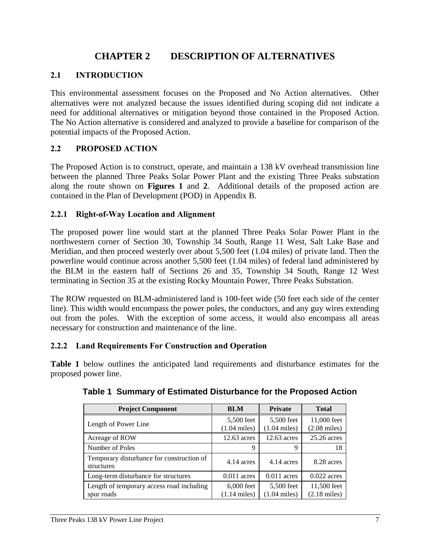## **CHAPTER 2 DESCRIPTION OF ALTERNATIVES**

### <span id="page-9-1"></span><span id="page-9-0"></span>**2.1 INTRODUCTION**

This environmental assessment focuses on the Proposed and No Action alternatives. Other alternatives were not analyzed because the issues identified during scoping did not indicate a need for additional alternatives or mitigation beyond those contained in the Proposed Action. The No Action alternative is considered and analyzed to provide a baseline for comparison of the potential impacts of the Proposed Action.

#### <span id="page-9-2"></span>**2.2 PROPOSED ACTION**

The Proposed Action is to construct, operate, and maintain a 138 kV overhead transmission line between the planned Three Peaks Solar Power Plant and the existing Three Peaks substation along the route shown on **Figures 1** and **2**. Additional details of the proposed action are contained in the Plan of Development (POD) in Appendix B.

#### <span id="page-9-3"></span>**2.2.1 Right-of-Way Location and Alignment**

The proposed power line would start at the planned Three Peaks Solar Power Plant in the northwestern corner of Section 30, Township 34 South, Range 11 West, Salt Lake Base and Meridian, and then proceed westerly over about 5,500 feet (1.04 miles) of private land. Then the powerline would continue across another 5,500 feet (1.04 miles) of federal land administered by the BLM in the eastern half of Sections 26 and 35, Township 34 South, Range 12 West terminating in Section 35 at the existing Rocky Mountain Power, Three Peaks Substation.

The ROW requested on BLM-administered land is 100-feet wide (50 feet each side of the center line). This width would encompass the power poles, the conductors, and any guy wires extending out from the poles. With the exception of some access, it would also encompass all areas necessary for construction and maintenance of the line.

#### <span id="page-9-4"></span>**2.2.2 Land Requirements For Construction and Operation**

<span id="page-9-5"></span>**Table 1** below outlines the anticipated land requirements and disturbance estimates for the proposed power line.

| <b>Project Component</b>                                | <b>BLM</b>                             | <b>Private</b>                       | <b>Total</b>                          |
|---------------------------------------------------------|----------------------------------------|--------------------------------------|---------------------------------------|
| Length of Power Line                                    | 5,500 feet<br>$(1.04 \text{ miles})$   | 5,500 feet<br>$(1.04 \text{ miles})$ | 11,000 feet<br>$(2.08 \text{ miles})$ |
| Acreage of ROW                                          | $12.63$ acres                          | $12.63$ acres                        | $25.26$ acres                         |
| Number of Poles                                         | 9                                      | 9                                    | 18                                    |
| Temporary disturbance for construction of<br>structures | 4.14 acres                             | 4.14 acres                           | 8.28 acres                            |
| Long-term disturbance for structures                    | $0.011$ acres                          | $0.011$ acres                        | $0.022$ acres                         |
| Length of temporary access road including<br>spur roads | $6,000$ feet<br>$(1.14 \text{ miles})$ | 5,500 feet<br>$(1.04 \text{ miles})$ | 11,500 feet<br>$(2.18 \text{ miles})$ |

#### **Table 1 Summary of Estimated Disturbance for the Proposed Action**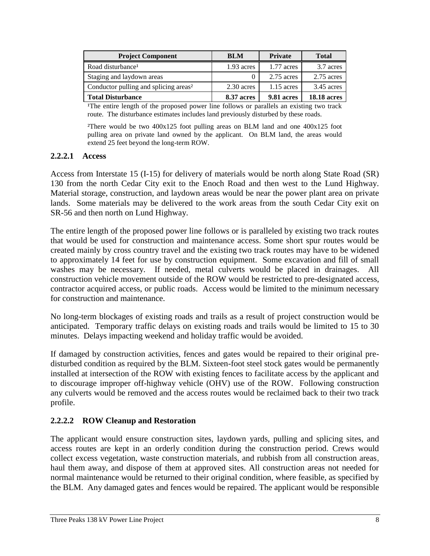| <b>Project Component</b>                          | BLM          | <b>Private</b> | <b>Total</b>       |
|---------------------------------------------------|--------------|----------------|--------------------|
| Road disturbance <sup>1</sup>                     | $1.93$ acres | 1.77 acres     | 3.7 acres          |
| Staging and laydown areas                         |              | $2.75$ acres   | 2.75 acres         |
| Conductor pulling and splicing areas <sup>2</sup> | 2.30 acres   | $1.15$ acres   | $3.45$ acres       |
| <b>Total Disturbance</b>                          | 8.37 acres   | 9.81 acres     | <b>18.18 acres</b> |

<sup>1</sup>The entire length of the proposed power line follows or parallels an existing two track route. The disturbance estimates includes land previously disturbed by these roads.

²There would be two 400x125 foot pulling areas on BLM land and one 400x125 foot pulling area on private land owned by the applicant. On BLM land, the areas would extend 25 feet beyond the long-term ROW.

#### **2.2.2.1 Access**

Access from Interstate 15 (I-15) for delivery of materials would be north along State Road (SR) 130 from the north Cedar City exit to the Enoch Road and then west to the Lund Highway. Material storage, construction, and laydown areas would be near the power plant area on private lands. Some materials may be delivered to the work areas from the south Cedar City exit on SR-56 and then north on Lund Highway.

The entire length of the proposed power line follows or is paralleled by existing two track routes that would be used for construction and maintenance access. Some short spur routes would be created mainly by cross country travel and the existing two track routes may have to be widened to approximately 14 feet for use by construction equipment. Some excavation and fill of small washes may be necessary. If needed, metal culverts would be placed in drainages. All construction vehicle movement outside of the ROW would be restricted to pre-designated access, contractor acquired access, or public roads. Access would be limited to the minimum necessary for construction and maintenance.

No long-term blockages of existing roads and trails as a result of project construction would be anticipated. Temporary traffic delays on existing roads and trails would be limited to 15 to 30 minutes. Delays impacting weekend and holiday traffic would be avoided.

If damaged by construction activities, fences and gates would be repaired to their original predisturbed condition as required by the BLM. Sixteen-foot steel stock gates would be permanently installed at intersection of the ROW with existing fences to facilitate access by the applicant and to discourage improper off-highway vehicle (OHV) use of the ROW. Following construction any culverts would be removed and the access routes would be reclaimed back to their two track profile.

#### **2.2.2.2 ROW Cleanup and Restoration**

The applicant would ensure construction sites, laydown yards, pulling and splicing sites, and access routes are kept in an orderly condition during the construction period. Crews would collect excess vegetation, waste construction materials, and rubbish from all construction areas, haul them away, and dispose of them at approved sites. All construction areas not needed for normal maintenance would be returned to their original condition, where feasible, as specified by the BLM. Any damaged gates and fences would be repaired. The applicant would be responsible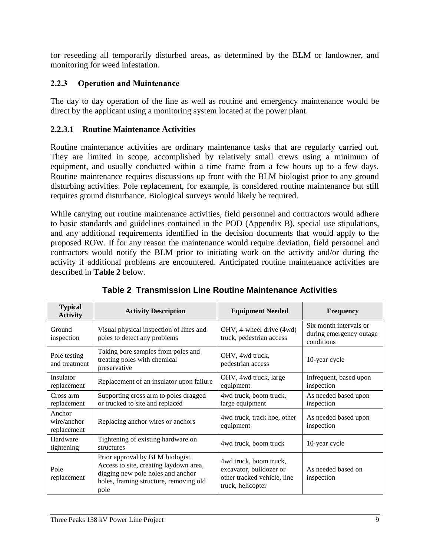for reseeding all temporarily disturbed areas, as determined by the BLM or landowner, and monitoring for weed infestation.

## <span id="page-11-0"></span>**2.2.3 Operation and Maintenance**

The day to day operation of the line as well as routine and emergency maintenance would be direct by the applicant using a monitoring system located at the power plant.

## **2.2.3.1 Routine Maintenance Activities**

Routine maintenance activities are ordinary maintenance tasks that are regularly carried out. They are limited in scope, accomplished by relatively small crews using a minimum of equipment, and usually conducted within a time frame from a few hours up to a few days. Routine maintenance requires discussions up front with the BLM biologist prior to any ground disturbing activities. Pole replacement, for example, is considered routine maintenance but still requires ground disturbance. Biological surveys would likely be required.

While carrying out routine maintenance activities, field personnel and contractors would adhere to basic standards and guidelines contained in the POD (Appendix B), special use stipulations, and any additional requirements identified in the decision documents that would apply to the proposed ROW. If for any reason the maintenance would require deviation, field personnel and contractors would notify the BLM prior to initiating work on the activity and/or during the activity if additional problems are encountered. Anticipated routine maintenance activities are described in **Table 2** below.

<span id="page-11-1"></span>

| <b>Typical</b><br><b>Activity</b>    | <b>Activity Description</b>                                                                                                                                       | <b>Equipment Needed</b>                                                                                | <b>Frequency</b>                                                |
|--------------------------------------|-------------------------------------------------------------------------------------------------------------------------------------------------------------------|--------------------------------------------------------------------------------------------------------|-----------------------------------------------------------------|
| Ground<br>inspection                 | Visual physical inspection of lines and<br>poles to detect any problems                                                                                           | OHV, 4-wheel drive (4wd)<br>truck, pedestrian access                                                   | Six month intervals or<br>during emergency outage<br>conditions |
| Pole testing<br>and treatment        | Taking bore samples from poles and<br>treating poles with chemical<br>preservative                                                                                | OHV, 4wd truck,<br>pedestrian access                                                                   | 10-year cycle                                                   |
| Insulator<br>replacement             | Replacement of an insulator upon failure                                                                                                                          | OHV, 4wd truck, large<br>equipment                                                                     | Infrequent, based upon<br>inspection                            |
| Cross arm<br>replacement             | Supporting cross arm to poles dragged<br>or trucked to site and replaced                                                                                          | 4wd truck, boom truck,<br>large equipment                                                              | As needed based upon<br>inspection                              |
| Anchor<br>wire/anchor<br>replacement | Replacing anchor wires or anchors                                                                                                                                 | 4 wd truck, track hoe, other<br>equipment                                                              | As needed based upon<br>inspection                              |
| Hardware<br>tightening               | Tightening of existing hardware on<br>structures                                                                                                                  | 4 wd truck, boom truck                                                                                 | 10-year cycle                                                   |
| Pole<br>replacement                  | Prior approval by BLM biologist.<br>Access to site, creating laydown area,<br>digging new pole holes and anchor<br>holes, framing structure, removing old<br>pole | 4 wd truck, boom truck,<br>excavator, bulldozer or<br>other tracked vehicle, line<br>truck, helicopter | As needed based on<br>inspection                                |

**Table 2 Transmission Line Routine Maintenance Activities**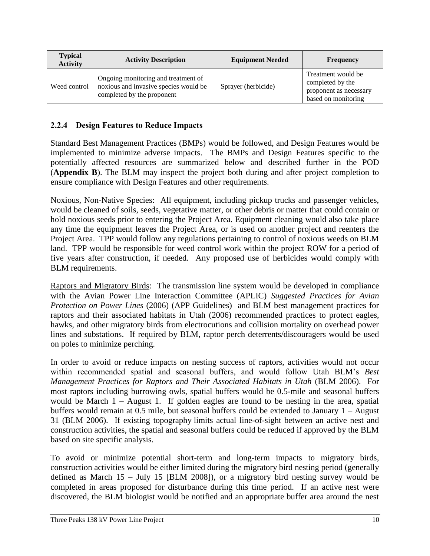| <b>Typical</b><br><b>Activity</b> | <b>Activity Description</b>                                                                                | <b>Equipment Needed</b> | <b>Frequency</b>                                                                        |
|-----------------------------------|------------------------------------------------------------------------------------------------------------|-------------------------|-----------------------------------------------------------------------------------------|
| Weed control                      | Ongoing monitoring and treatment of<br>noxious and invasive species would be<br>completed by the proponent | Sprayer (herbicide)     | Treatment would be<br>completed by the<br>proponent as necessary<br>based on monitoring |

#### <span id="page-12-0"></span>**2.2.4 Design Features to Reduce Impacts**

Standard Best Management Practices (BMPs) would be followed, and Design Features would be implemented to minimize adverse impacts. The BMPs and Design Features specific to the potentially affected resources are summarized below and described further in the POD (**Appendix B**). The BLM may inspect the project both during and after project completion to ensure compliance with Design Features and other requirements.

Noxious, Non-Native Species: All equipment, including pickup trucks and passenger vehicles, would be cleaned of soils, seeds, vegetative matter, or other debris or matter that could contain or hold noxious seeds prior to entering the Project Area. Equipment cleaning would also take place any time the equipment leaves the Project Area, or is used on another project and reenters the Project Area. TPP would follow any regulations pertaining to control of noxious weeds on BLM land. TPP would be responsible for weed control work within the project ROW for a period of five years after construction, if needed. Any proposed use of herbicides would comply with BLM requirements.

Raptors and Migratory Birds: The transmission line system would be developed in compliance with the Avian Power Line Interaction Committee (APLIC) *Suggested Practices for Avian Protection on Power Lines* (2006) (APP Guidelines) and BLM best management practices for raptors and their associated habitats in Utah (2006) recommended practices to protect eagles, hawks, and other migratory birds from electrocutions and collision mortality on overhead power lines and substations. If required by BLM, raptor perch deterrents/discouragers would be used on poles to minimize perching.

In order to avoid or reduce impacts on nesting success of raptors, activities would not occur within recommended spatial and seasonal buffers, and would follow Utah BLM's *Best Management Practices for Raptors and Their Associated Habitats in Utah (BLM 2006). For* most raptors including burrowing owls, spatial buffers would be 0.5-mile and seasonal buffers would be March 1 – August 1. If golden eagles are found to be nesting in the area, spatial buffers would remain at 0.5 mile, but seasonal buffers could be extended to January 1 – August 31 (BLM 2006). If existing topography limits actual line-of-sight between an active nest and construction activities, the spatial and seasonal buffers could be reduced if approved by the BLM based on site specific analysis.

To avoid or minimize potential short-term and long-term impacts to migratory birds, construction activities would be either limited during the migratory bird nesting period (generally defined as March 15 – July 15 [BLM 2008]), or a migratory bird nesting survey would be completed in areas proposed for disturbance during this time period. If an active nest were discovered, the BLM biologist would be notified and an appropriate buffer area around the nest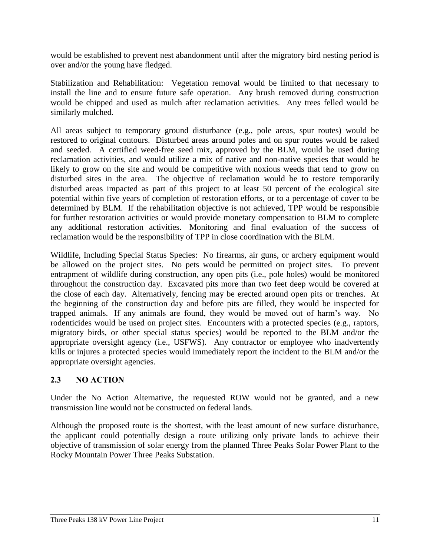would be established to prevent nest abandonment until after the migratory bird nesting period is over and/or the young have fledged.

Stabilization and Rehabilitation: Vegetation removal would be limited to that necessary to install the line and to ensure future safe operation. Any brush removed during construction would be chipped and used as mulch after reclamation activities. Any trees felled would be similarly mulched.

All areas subject to temporary ground disturbance (e.g., pole areas, spur routes) would be restored to original contours. Disturbed areas around poles and on spur routes would be raked and seeded. A certified weed-free seed mix, approved by the BLM, would be used during reclamation activities, and would utilize a mix of native and non-native species that would be likely to grow on the site and would be competitive with noxious weeds that tend to grow on disturbed sites in the area. The objective of reclamation would be to restore temporarily disturbed areas impacted as part of this project to at least 50 percent of the ecological site potential within five years of completion of restoration efforts, or to a percentage of cover to be determined by BLM. If the rehabilitation objective is not achieved, TPP would be responsible for further restoration activities or would provide monetary compensation to BLM to complete any additional restoration activities. Monitoring and final evaluation of the success of reclamation would be the responsibility of TPP in close coordination with the BLM.

Wildlife, Including Special Status Species: No firearms, air guns, or archery equipment would be allowed on the project sites. No pets would be permitted on project sites. To prevent entrapment of wildlife during construction, any open pits (i.e., pole holes) would be monitored throughout the construction day. Excavated pits more than two feet deep would be covered at the close of each day. Alternatively, fencing may be erected around open pits or trenches. At the beginning of the construction day and before pits are filled, they would be inspected for trapped animals. If any animals are found, they would be moved out of harm's way. No rodenticides would be used on project sites. Encounters with a protected species (e.g., raptors, migratory birds, or other special status species) would be reported to the BLM and/or the appropriate oversight agency (i.e., USFWS). Any contractor or employee who inadvertently kills or injures a protected species would immediately report the incident to the BLM and/or the appropriate oversight agencies.

## <span id="page-13-0"></span>**2.3 NO ACTION**

Under the No Action Alternative, the requested ROW would not be granted, and a new transmission line would not be constructed on federal lands.

Although the proposed route is the shortest, with the least amount of new surface disturbance, the applicant could potentially design a route utilizing only private lands to achieve their objective of transmission of solar energy from the planned Three Peaks Solar Power Plant to the Rocky Mountain Power Three Peaks Substation.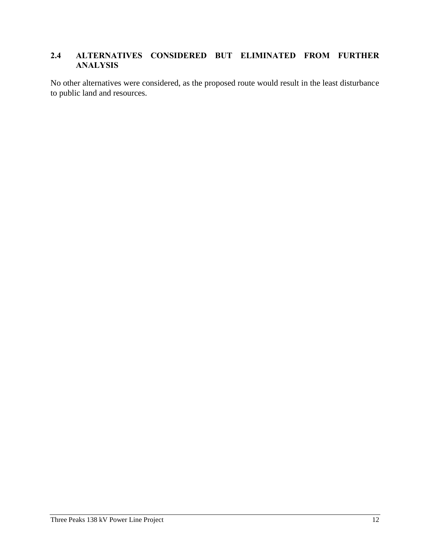## <span id="page-14-0"></span>**2.4 ALTERNATIVES CONSIDERED BUT ELIMINATED FROM FURTHER ANALYSIS**

No other alternatives were considered, as the proposed route would result in the least disturbance to public land and resources.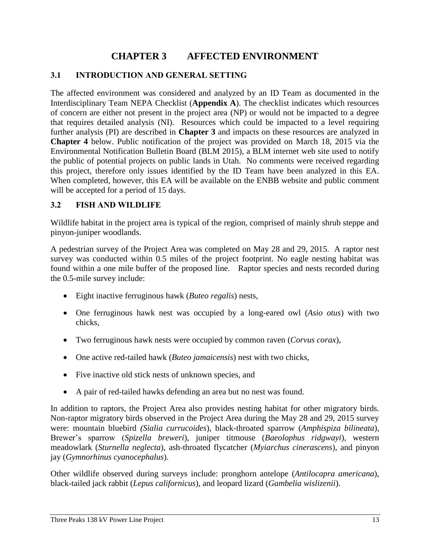## **CHAPTER 3 AFFECTED ENVIRONMENT**

#### <span id="page-15-1"></span><span id="page-15-0"></span>**3.1 INTRODUCTION AND GENERAL SETTING**

The affected environment was considered and analyzed by an ID Team as documented in the Interdisciplinary Team NEPA Checklist (**Appendix A**). The checklist indicates which resources of concern are either not present in the project area (NP) or would not be impacted to a degree that requires detailed analysis (NI). Resources which could be impacted to a level requiring further analysis (PI) are described in **Chapter 3** and impacts on these resources are analyzed in **Chapter 4** below. Public notification of the project was provided on March 18, 2015 via the Environmental Notification Bulletin Board (BLM 2015), a BLM internet web site used to notify the public of potential projects on public lands in Utah. No comments were received regarding this project, therefore only issues identified by the ID Team have been analyzed in this EA. When completed, however, this EA will be available on the ENBB website and public comment will be accepted for a period of 15 days.

#### <span id="page-15-2"></span>**3.2 FISH AND WILDLIFE**

Wildlife habitat in the project area is typical of the region, comprised of mainly shrub steppe and pinyon-juniper woodlands.

A pedestrian survey of the Project Area was completed on May 28 and 29, 2015. A raptor nest survey was conducted within 0.5 miles of the project footprint. No eagle nesting habitat was found within a one mile buffer of the proposed line. Raptor species and nests recorded during the 0.5-mile survey include:

- Eight inactive ferruginous hawk (*Buteo regalis*) nests,
- One ferruginous hawk nest was occupied by a long-eared owl (*Asio otus*) with two chicks,
- Two ferruginous hawk nests were occupied by common raven (*Corvus corax*),
- One active red-tailed hawk (*Buteo jamaicensis*) nest with two chicks,
- Five inactive old stick nests of unknown species, and
- A pair of red-tailed hawks defending an area but no nest was found.

In addition to raptors, the Project Area also provides nesting habitat for other migratory birds. Non-raptor migratory birds observed in the Project Area during the May 28 and 29, 2015 survey were: mountain bluebird *(Sialia currucoides*), black-throated sparrow (*Amphispiza bilineata*), Brewer's sparrow (*Spizella breweri*), juniper titmouse (*Baeolophus ridgwayi*), western meadowlark (*Sturnella neglecta*), ash-throated flycatcher (*Myiarchus cinerascens*), and pinyon jay (*Gymnorhinus cyanocephalus*).

Other wildlife observed during surveys include: pronghorn antelope (*Antilocapra americana*), black-tailed jack rabbit (*Lepus californicus*), and leopard lizard (*Gambelia wislizenii*).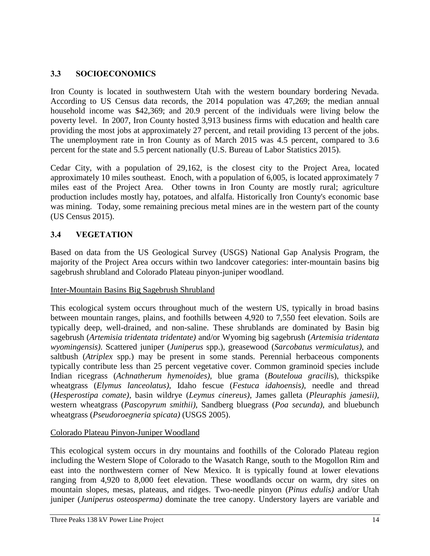## <span id="page-16-0"></span>**3.3 SOCIOECONOMICS**

Iron County is located in southwestern Utah with the western boundary bordering Nevada. According to US Census data records, the 2014 population was 47,269; the median annual household income was \$42,369; and 20.9 percent of the individuals were living below the poverty level. In 2007, Iron County hosted 3,913 business firms with education and health care providing the most jobs at approximately 27 percent, and retail providing 13 percent of the jobs. The unemployment rate in Iron County as of March 2015 was 4.5 percent, compared to 3.6 percent for the state and 5.5 percent nationally (U.S. Bureau of Labor Statistics 2015).

Cedar City, with a population of 29,162, is the closest city to the Project Area, located approximately 10 miles southeast. Enoch, with a population of 6,005, is located approximately 7 miles east of the Project Area. Other towns in Iron County are mostly rural; agriculture production includes mostly hay, potatoes, and alfalfa. Historically Iron County's economic base was mining. Today, some remaining precious metal mines are in the western part of the county (US Census 2015).

## <span id="page-16-1"></span>**3.4 VEGETATION**

Based on data from the US Geological Survey (USGS) National Gap Analysis Program, the majority of the Project Area occurs within two landcover categories: inter-mountain basins big sagebrush shrubland and Colorado Plateau pinyon-juniper woodland.

#### Inter-Mountain Basins Big Sagebrush Shrubland

This ecological system occurs throughout much of the western US, typically in broad basins between mountain ranges, plains, and foothills between 4,920 to 7,550 feet elevation. Soils are typically deep, well-drained, and non-saline. These shrublands are dominated by Basin big sagebrush (*Artemisia tridentata tridentate)* and/or Wyoming big sagebrush (*Artemisia tridentata wyomingensis)*. Scattered juniper (*Juniperus* spp.), greasewood (*Sarcobatus vermiculatus)*, and saltbush (*Atriplex* spp.) may be present in some stands. Perennial herbaceous components typically contribute less than 25 percent vegetative cover. Common graminoid species include Indian ricegrass (*Achnatherum hymenoides)*, blue grama (*Bouteloua gracili*s), thickspike wheatgrass (*Elymus lanceolatus)*, Idaho fescue (*Festuca idahoensis)*, needle and thread (*Hesperostipa comate)*, basin wildrye (*Leymus cinereus)*, James galleta (*Pleuraphis jamesii)*, western wheatgrass (*Pascopyrum smithii)*, Sandberg bluegrass (*Poa secunda)*, and bluebunch wheatgrass (*Pseudoroegneria spicata)* (USGS 2005).

## Colorado Plateau Pinyon-Juniper Woodland

This ecological system occurs in dry mountains and foothills of the Colorado Plateau region including the Western Slope of Colorado to the Wasatch Range, south to the Mogollon Rim and east into the northwestern corner of New Mexico. It is typically found at lower elevations ranging from 4,920 to 8,000 feet elevation. These woodlands occur on warm, dry sites on mountain slopes, mesas, plateaus, and ridges. Two-needle pinyon (*Pinus edulis)* and/or Utah juniper (*Juniperus osteosperma)* dominate the tree canopy. Understory layers are variable and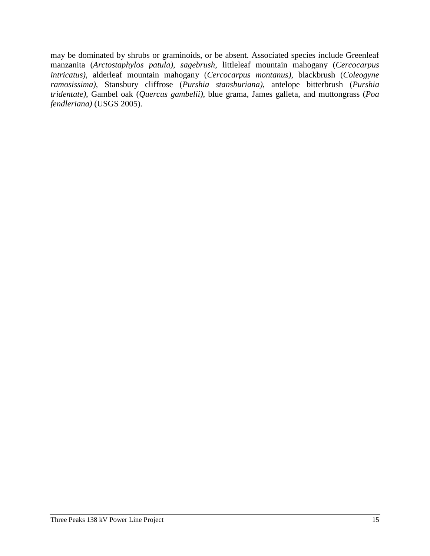may be dominated by shrubs or graminoids, or be absent. Associated species include Greenleaf manzanita (*Arctostaphylos patula)*, *sagebrush*, littleleaf mountain mahogany (*Cercocarpus intricatus)*, alderleaf mountain mahogany (*Cercocarpus montanus)*, blackbrush (*Coleogyne ramosissima)*, Stansbury cliffrose (*Purshia stansburiana)*, antelope bitterbrush (*Purshia tridentate)*, Gambel oak (*Quercus gambelii)*, blue grama, James galleta, and muttongrass (*Poa fendleriana)* (USGS 2005).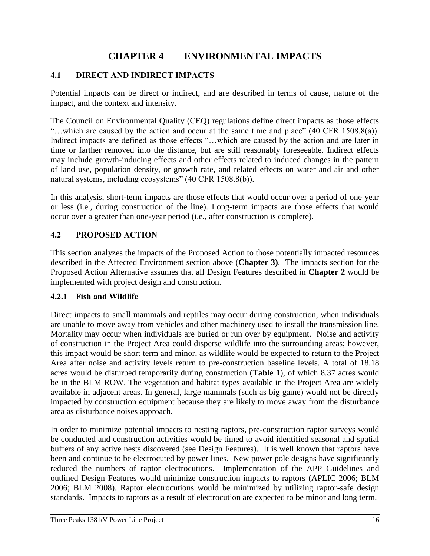## **CHAPTER 4 ENVIRONMENTAL IMPACTS**

#### <span id="page-18-1"></span><span id="page-18-0"></span>**4.1 DIRECT AND INDIRECT IMPACTS**

Potential impacts can be direct or indirect, and are described in terms of cause, nature of the impact, and the context and intensity.

The Council on Environmental Quality (CEQ) regulations define direct impacts as those effects "…which are caused by the action and occur at the same time and place" (40 CFR 1508.8(a)). Indirect impacts are defined as those effects "…which are caused by the action and are later in time or farther removed into the distance, but are still reasonably foreseeable. Indirect effects may include growth-inducing effects and other effects related to induced changes in the pattern of land use, population density, or growth rate, and related effects on water and air and other natural systems, including ecosystems" (40 CFR 1508.8(b)).

In this analysis, short-term impacts are those effects that would occur over a period of one year or less (i.e., during construction of the line). Long-term impacts are those effects that would occur over a greater than one-year period (i.e., after construction is complete).

#### <span id="page-18-2"></span>**4.2 PROPOSED ACTION**

This section analyzes the impacts of the Proposed Action to those potentially impacted resources described in the Affected Environment section above (**Chapter 3)**. The impacts section for the Proposed Action Alternative assumes that all Design Features described in **Chapter 2** would be implemented with project design and construction.

#### <span id="page-18-3"></span>**4.2.1 Fish and Wildlife**

Direct impacts to small mammals and reptiles may occur during construction, when individuals are unable to move away from vehicles and other machinery used to install the transmission line. Mortality may occur when individuals are buried or run over by equipment. Noise and activity of construction in the Project Area could disperse wildlife into the surrounding areas; however, this impact would be short term and minor, as wildlife would be expected to return to the Project Area after noise and activity levels return to pre-construction baseline levels. A total of 18.18 acres would be disturbed temporarily during construction (**Table 1**), of which 8.37 acres would be in the BLM ROW. The vegetation and habitat types available in the Project Area are widely available in adjacent areas. In general, large mammals (such as big game) would not be directly impacted by construction equipment because they are likely to move away from the disturbance area as disturbance noises approach.

In order to minimize potential impacts to nesting raptors, pre-construction raptor surveys would be conducted and construction activities would be timed to avoid identified seasonal and spatial buffers of any active nests discovered (see Design Features). It is well known that raptors have been and continue to be electrocuted by power lines. New power pole designs have significantly reduced the numbers of raptor electrocutions. Implementation of the APP Guidelines and outlined Design Features would minimize construction impacts to raptors (APLIC 2006; BLM 2006; BLM 2008). Raptor electrocutions would be minimized by utilizing raptor-safe design standards. Impacts to raptors as a result of electrocution are expected to be minor and long term.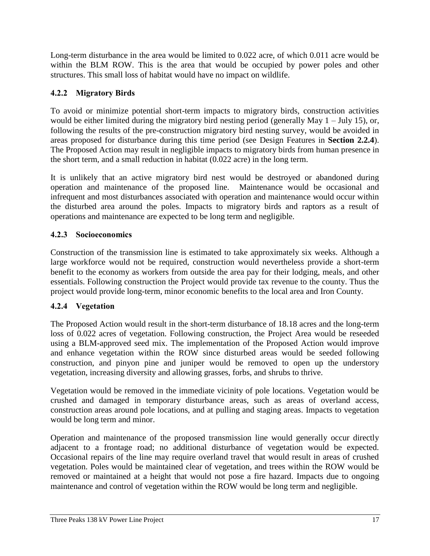Long-term disturbance in the area would be limited to 0.022 acre, of which 0.011 acre would be within the BLM ROW. This is the area that would be occupied by power poles and other structures. This small loss of habitat would have no impact on wildlife.

## <span id="page-19-0"></span>**4.2.2 Migratory Birds**

To avoid or minimize potential short-term impacts to migratory birds, construction activities would be either limited during the migratory bird nesting period (generally May 1 – July 15), or, following the results of the pre-construction migratory bird nesting survey, would be avoided in areas proposed for disturbance during this time period (see Design Features in **Section 2.2.4**). The Proposed Action may result in negligible impacts to migratory birds from human presence in the short term, and a small reduction in habitat (0.022 acre) in the long term.

It is unlikely that an active migratory bird nest would be destroyed or abandoned during operation and maintenance of the proposed line. Maintenance would be occasional and infrequent and most disturbances associated with operation and maintenance would occur within the disturbed area around the poles. Impacts to migratory birds and raptors as a result of operations and maintenance are expected to be long term and negligible.

## <span id="page-19-1"></span>**4.2.3 Socioeconomics**

Construction of the transmission line is estimated to take approximately six weeks. Although a large workforce would not be required, construction would nevertheless provide a short-term benefit to the economy as workers from outside the area pay for their lodging, meals, and other essentials. Following construction the Project would provide tax revenue to the county. Thus the project would provide long-term, minor economic benefits to the local area and Iron County.

## <span id="page-19-2"></span>**4.2.4 Vegetation**

The Proposed Action would result in the short-term disturbance of 18.18 acres and the long-term loss of 0.022 acres of vegetation. Following construction, the Project Area would be reseeded using a BLM-approved seed mix. The implementation of the Proposed Action would improve and enhance vegetation within the ROW since disturbed areas would be seeded following construction, and pinyon pine and juniper would be removed to open up the understory vegetation, increasing diversity and allowing grasses, forbs, and shrubs to thrive.

Vegetation would be removed in the immediate vicinity of pole locations. Vegetation would be crushed and damaged in temporary disturbance areas, such as areas of overland access, construction areas around pole locations, and at pulling and staging areas. Impacts to vegetation would be long term and minor.

Operation and maintenance of the proposed transmission line would generally occur directly adjacent to a frontage road; no additional disturbance of vegetation would be expected. Occasional repairs of the line may require overland travel that would result in areas of crushed vegetation. Poles would be maintained clear of vegetation, and trees within the ROW would be removed or maintained at a height that would not pose a fire hazard. Impacts due to ongoing maintenance and control of vegetation within the ROW would be long term and negligible.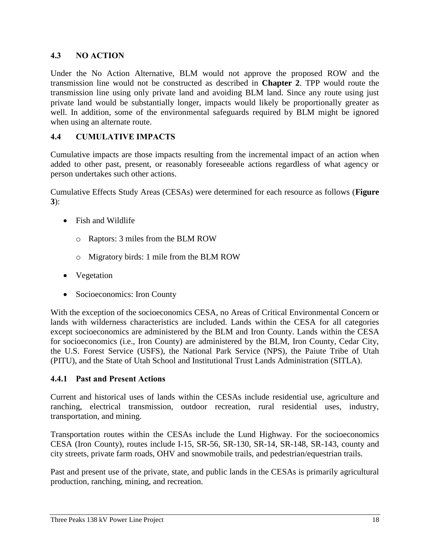### <span id="page-20-0"></span>**4.3 NO ACTION**

Under the No Action Alternative, BLM would not approve the proposed ROW and the transmission line would not be constructed as described in **Chapter 2**. TPP would route the transmission line using only private land and avoiding BLM land. Since any route using just private land would be substantially longer, impacts would likely be proportionally greater as well. In addition, some of the environmental safeguards required by BLM might be ignored when using an alternate route.

#### <span id="page-20-1"></span>**4.4 CUMULATIVE IMPACTS**

Cumulative impacts are those impacts resulting from the incremental impact of an action when added to other past, present, or reasonably foreseeable actions regardless of what agency or person undertakes such other actions.

Cumulative Effects Study Areas (CESAs) were determined for each resource as follows (**Figure 3**):

- Fish and Wildlife
	- o Raptors: 3 miles from the BLM ROW
	- o Migratory birds: 1 mile from the BLM ROW
- Vegetation
- Socioeconomics: Iron County

With the exception of the socioeconomics CESA, no Areas of Critical Environmental Concern or lands with wilderness characteristics are included. Lands within the CESA for all categories except socioeconomics are administered by the BLM and Iron County. Lands within the CESA for socioeconomics (i.e., Iron County) are administered by the BLM, Iron County, Cedar City, the U.S. Forest Service (USFS), the National Park Service (NPS), the Paiute Tribe of Utah (PITU), and the State of Utah School and Institutional Trust Lands Administration (SITLA).

#### <span id="page-20-2"></span>**4.4.1 Past and Present Actions**

Current and historical uses of lands within the CESAs include residential use, agriculture and ranching, electrical transmission, outdoor recreation, rural residential uses, industry, transportation, and mining.

Transportation routes within the CESAs include the Lund Highway. For the socioeconomics CESA (Iron County), routes include I-15, SR-56, SR-130, SR-14, SR-148, SR-143, county and city streets, private farm roads, OHV and snowmobile trails, and pedestrian/equestrian trails.

Past and present use of the private, state, and public lands in the CESAs is primarily agricultural production, ranching, mining, and recreation.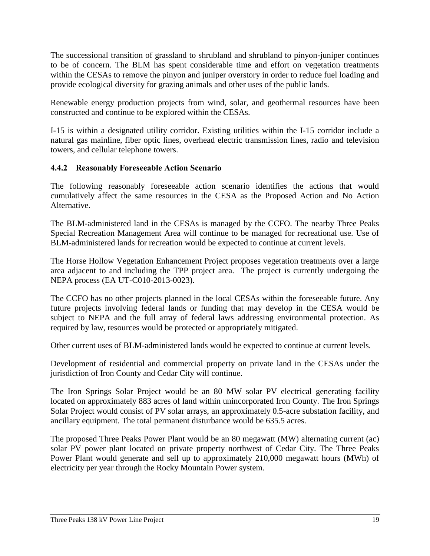The successional transition of grassland to shrubland and shrubland to pinyon-juniper continues to be of concern. The BLM has spent considerable time and effort on vegetation treatments within the CESAs to remove the pinyon and juniper overstory in order to reduce fuel loading and provide ecological diversity for grazing animals and other uses of the public lands.

Renewable energy production projects from wind, solar, and geothermal resources have been constructed and continue to be explored within the CESAs.

I-15 is within a designated utility corridor. Existing utilities within the I-15 corridor include a natural gas mainline, fiber optic lines, overhead electric transmission lines, radio and television towers, and cellular telephone towers.

#### <span id="page-21-0"></span>**4.4.2 Reasonably Foreseeable Action Scenario**

The following reasonably foreseeable action scenario identifies the actions that would cumulatively affect the same resources in the CESA as the Proposed Action and No Action Alternative.

The BLM-administered land in the CESAs is managed by the CCFO. The nearby Three Peaks Special Recreation Management Area will continue to be managed for recreational use. Use of BLM-administered lands for recreation would be expected to continue at current levels.

The Horse Hollow Vegetation Enhancement Project proposes vegetation treatments over a large area adjacent to and including the TPP project area. The project is currently undergoing the NEPA process (EA UT-C010-2013-0023).

The CCFO has no other projects planned in the local CESAs within the foreseeable future. Any future projects involving federal lands or funding that may develop in the CESA would be subject to NEPA and the full array of federal laws addressing environmental protection. As required by law, resources would be protected or appropriately mitigated.

Other current uses of BLM-administered lands would be expected to continue at current levels.

Development of residential and commercial property on private land in the CESAs under the jurisdiction of Iron County and Cedar City will continue.

The Iron Springs Solar Project would be an 80 MW solar PV electrical generating facility located on approximately 883 acres of land within unincorporated Iron County. The Iron Springs Solar Project would consist of PV solar arrays, an approximately 0.5-acre substation facility, and ancillary equipment. The total permanent disturbance would be 635.5 acres.

The proposed Three Peaks Power Plant would be an 80 megawatt (MW) alternating current (ac) solar PV power plant located on private property northwest of Cedar City. The Three Peaks Power Plant would generate and sell up to approximately 210,000 megawatt hours (MWh) of electricity per year through the Rocky Mountain Power system.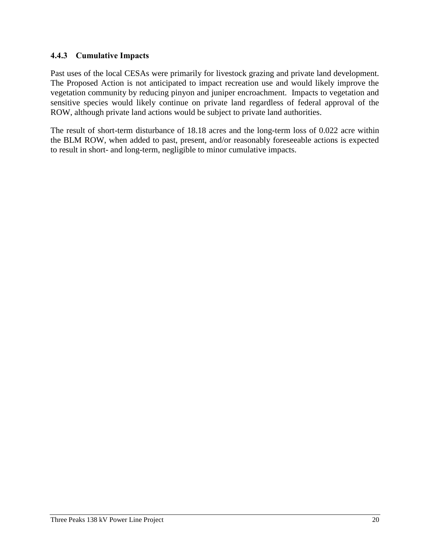#### <span id="page-22-0"></span>**4.4.3 Cumulative Impacts**

Past uses of the local CESAs were primarily for livestock grazing and private land development. The Proposed Action is not anticipated to impact recreation use and would likely improve the vegetation community by reducing pinyon and juniper encroachment. Impacts to vegetation and sensitive species would likely continue on private land regardless of federal approval of the ROW, although private land actions would be subject to private land authorities.

The result of short-term disturbance of 18.18 acres and the long-term loss of 0.022 acre within the BLM ROW, when added to past, present, and/or reasonably foreseeable actions is expected to result in short- and long-term, negligible to minor cumulative impacts.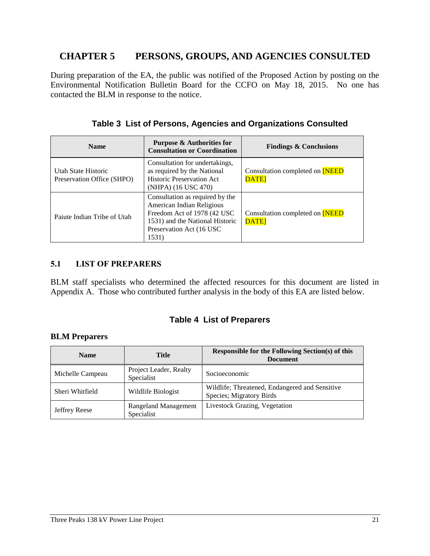## <span id="page-23-0"></span>**CHAPTER 5 PERSONS, GROUPS, AND AGENCIES CONSULTED**

During preparation of the EA, the public was notified of the Proposed Action by posting on the Environmental Notification Bulletin Board for the CCFO on May 18, 2015. No one has contacted the BLM in response to the notice.

<span id="page-23-2"></span>

| <b>Name</b>                                       | <b>Purpose &amp; Authorities for</b><br><b>Consultation or Coordination</b>                                                                                           | <b>Findings &amp; Conclusions</b>                    |
|---------------------------------------------------|-----------------------------------------------------------------------------------------------------------------------------------------------------------------------|------------------------------------------------------|
| Utah State Historic<br>Preservation Office (SHPO) | Consultation for undertakings,<br>as required by the National<br><b>Historic Preservation Act</b><br>(NHPA) (16 USC 470)                                              | Consultation completed on <b>NEED</b><br><b>DATE</b> |
| Paiute Indian Tribe of Utah                       | Consultation as required by the<br>American Indian Religious<br>Freedom Act of 1978 (42 USC)<br>1531) and the National Historic<br>Preservation Act (16 USC)<br>1531) | Consultation completed on <b>NEED</b><br><b>DATE</b> |

#### <span id="page-23-1"></span>**5.1 LIST OF PREPARERS**

BLM staff specialists who determined the affected resources for this document are listed in Appendix A. Those who contributed further analysis in the body of this EA are listed below.

## **Table 4 List of Preparers**

#### <span id="page-23-3"></span>**BLM Preparers**

| <b>Name</b>      | <b>Title</b>                              | <b>Responsible for the Following Section(s) of this</b><br><b>Document</b> |
|------------------|-------------------------------------------|----------------------------------------------------------------------------|
| Michelle Campeau | Project Leader, Realty<br>Specialist      | Socioeconomic                                                              |
| Sheri Whitfield  | Wildlife Biologist                        | Wildlife; Threatened, Endangered and Sensitive<br>Species; Migratory Birds |
| Jeffrey Reese    | <b>Rangeland Management</b><br>Specialist | Livestock Grazing, Vegetation                                              |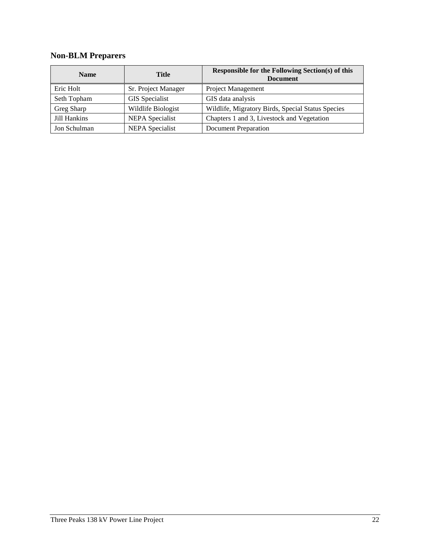# **Non-BLM Preparers**

| <b>Name</b>  | Title                  | Responsible for the Following Section(s) of this<br><b>Document</b> |
|--------------|------------------------|---------------------------------------------------------------------|
| Eric Holt    | Sr. Project Manager    | <b>Project Management</b>                                           |
| Seth Topham  | <b>GIS</b> Specialist  | GIS data analysis                                                   |
| Greg Sharp   | Wildlife Biologist     | Wildlife, Migratory Birds, Special Status Species                   |
| Jill Hankins | <b>NEPA</b> Specialist | Chapters 1 and 3, Livestock and Vegetation                          |
| Jon Schulman | <b>NEPA</b> Specialist | Document Preparation                                                |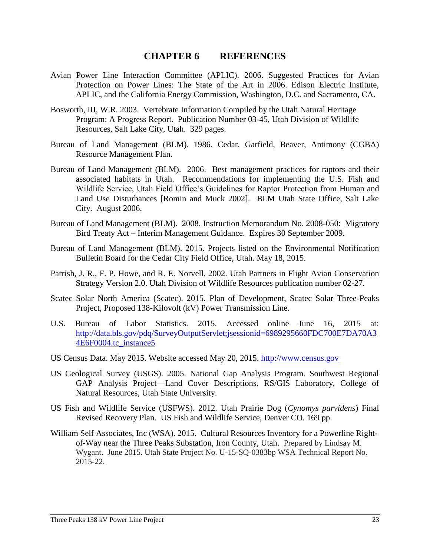#### **CHAPTER 6 REFERENCES**

- <span id="page-25-0"></span>Avian Power Line Interaction Committee (APLIC). 2006. Suggested Practices for Avian Protection on Power Lines: The State of the Art in 2006. Edison Electric Institute, APLIC, and the California Energy Commission, Washington, D.C. and Sacramento, CA.
- Bosworth, III, W.R. 2003. Vertebrate Information Compiled by the Utah Natural Heritage Program: A Progress Report. Publication Number 03-45, Utah Division of Wildlife Resources, Salt Lake City, Utah. 329 pages.
- Bureau of Land Management (BLM). 1986. Cedar, Garfield, Beaver, Antimony (CGBA) Resource Management Plan.
- Bureau of Land Management (BLM). 2006. Best management practices for raptors and their associated habitats in Utah. Recommendations for implementing the U.S. Fish and Wildlife Service, Utah Field Office's Guidelines for Raptor Protection from Human and Land Use Disturbances [Romin and Muck 2002]. BLM Utah State Office, Salt Lake City. August 2006.
- Bureau of Land Management (BLM). 2008. Instruction Memorandum No. 2008-050: Migratory Bird Treaty Act – Interim Management Guidance. Expires 30 September 2009.
- Bureau of Land Management (BLM). 2015. Projects listed on the Environmental Notification Bulletin Board for the Cedar City Field Office, Utah. May 18, 2015.
- Parrish, J. R., F. P. Howe, and R. E. Norvell. 2002. Utah Partners in Flight Avian Conservation Strategy Version 2.0. Utah Division of Wildlife Resources publication number 02-27.
- Scatec Solar North America (Scatec). 2015. Plan of Development, Scatec Solar Three-Peaks Project, Proposed 138-Kilovolt (kV) Power Transmission Line.
- U.S. Bureau of Labor Statistics. 2015. Accessed online June 16, 2015 at: http://data.bls.gov/pdq/SurveyOutputServlet;jsessionid=6989295660FDC700E7DA70A3 4E6F0004.tc\_instance5
- US Census Data. May 2015. Website accessed May 20, 2015. [http://www.census.gov](http://www.census.gov/)
- US Geological Survey (USGS). 2005. National Gap Analysis Program. Southwest Regional GAP Analysis Project—Land Cover Descriptions. RS/GIS Laboratory, College of Natural Resources, Utah State University.
- US Fish and Wildlife Service (USFWS). 2012. Utah Prairie Dog (*Cynomys parvidens*) Final Revised Recovery Plan. US Fish and Wildlife Service, Denver CO. 169 pp.
- William Self Associates, Inc (WSA). 2015. Cultural Resources Inventory for a Powerline Rightof-Way near the Three Peaks Substation, Iron County, Utah. Prepared by Lindsay M. Wygant. June 2015. Utah State Project No. U-15-SQ-0383bp WSA Technical Report No. 2015-22.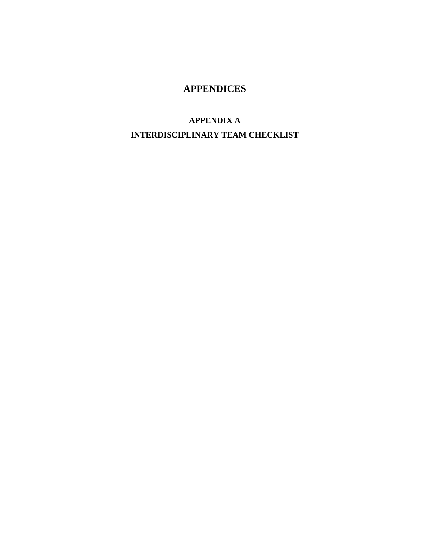## **APPENDICES**

## **APPENDIX A**

# **INTERDISCIPLINARY TEAM CHECKLIST**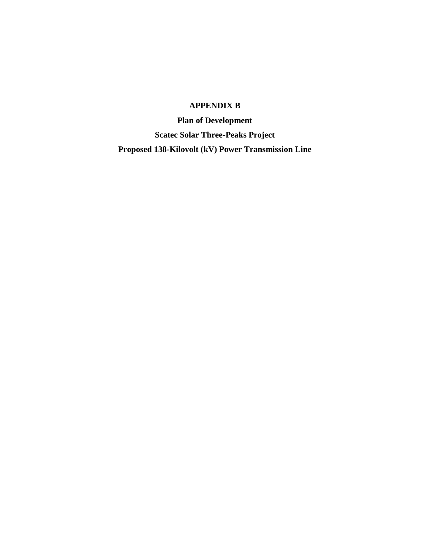## **APPENDIX B**

**Plan of Development Scatec Solar Three-Peaks Project Proposed 138-Kilovolt (kV) Power Transmission Line**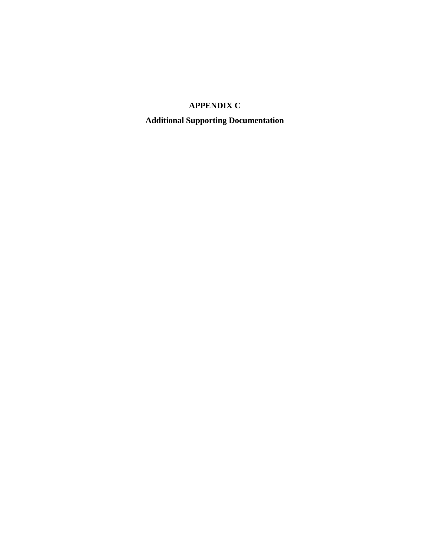## **APPENDIX C**

**Additional Supporting Documentation**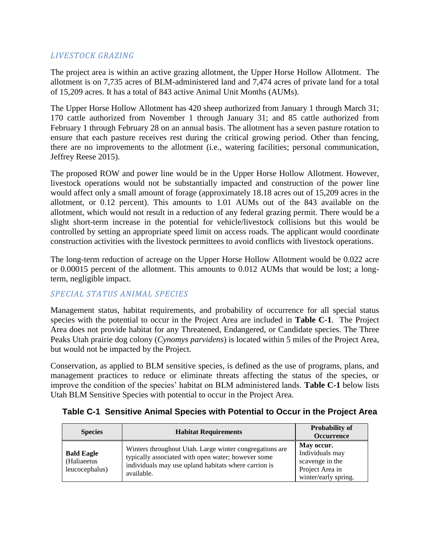#### *LIVESTOCK GRAZING*

The project area is within an active grazing allotment, the Upper Horse Hollow Allotment. The allotment is on 7,735 acres of BLM-administered land and 7,474 acres of private land for a total of 15,209 acres. It has a total of 843 active Animal Unit Months (AUMs).

The Upper Horse Hollow Allotment has 420 sheep authorized from January 1 through March 31; 170 cattle authorized from November 1 through January 31; and 85 cattle authorized from February 1 through February 28 on an annual basis. The allotment has a seven pasture rotation to ensure that each pasture receives rest during the critical growing period. Other than fencing, there are no improvements to the allotment (i.e., watering facilities; personal communication, Jeffrey Reese 2015).

The proposed ROW and power line would be in the Upper Horse Hollow Allotment. However, livestock operations would not be substantially impacted and construction of the power line would affect only a small amount of forage (approximately 18.18 acres out of 15,209 acres in the allotment, or 0.12 percent). This amounts to 1.01 AUMs out of the 843 available on the allotment, which would not result in a reduction of any federal grazing permit. There would be a slight short-term increase in the potential for vehicle/livestock collisions but this would be controlled by setting an appropriate speed limit on access roads. The applicant would coordinate construction activities with the livestock permittees to avoid conflicts with livestock operations.

The long-term reduction of acreage on the Upper Horse Hollow Allotment would be 0.022 acre or 0.00015 percent of the allotment. This amounts to 0.012 AUMs that would be lost; a longterm, negligible impact.

#### *SPECIAL STATUS ANIMAL SPECIES*

Management status, habitat requirements, and probability of occurrence for all special status species with the potential to occur in the Project Area are included in **Table C-1**. The Project Area does not provide habitat for any Threatened, Endangered, or Candidate species. The Three Peaks Utah prairie dog colony (*Cynomys parvidens*) is located within 5 miles of the Project Area, but would not be impacted by the Project.

Conservation, as applied to BLM sensitive species, is defined as the use of programs, plans, and management practices to reduce or eliminate threats affecting the status of the species, or improve the condition of the species' habitat on BLM administered lands. **Table C-1** below lists Utah BLM Sensitive Species with potential to occur in the Project Area.

| <b>Species</b>                                     | <b>Habitat Requirements</b>                                                                                                                                                         | <b>Probability of</b><br>Occurrence                                                         |
|----------------------------------------------------|-------------------------------------------------------------------------------------------------------------------------------------------------------------------------------------|---------------------------------------------------------------------------------------------|
| <b>Bald Eagle</b><br>(Haliaeetus<br>leucocephalus) | Winters throughout Utah. Large winter congregations are<br>typically associated with open water; however some<br>individuals may use upland habitats where carrion is<br>available. | May occur.<br>Individuals may<br>scavenge in the<br>Project Area in<br>winter/early spring. |

## <span id="page-29-0"></span>**Table C-1 Sensitive Animal Species with Potential to Occur in the Project Area**